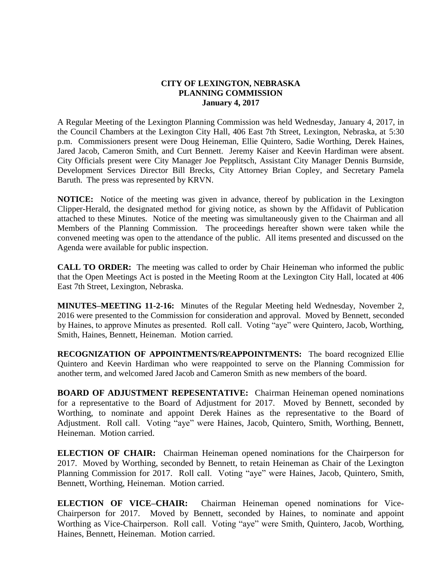## **CITY OF LEXINGTON, NEBRASKA PLANNING COMMISSION January 4, 2017**

A Regular Meeting of the Lexington Planning Commission was held Wednesday, January 4, 2017, in the Council Chambers at the Lexington City Hall, 406 East 7th Street, Lexington, Nebraska, at 5:30 p.m. Commissioners present were Doug Heineman, Ellie Quintero, Sadie Worthing, Derek Haines, Jared Jacob, Cameron Smith, and Curt Bennett. Jeremy Kaiser and Keevin Hardiman were absent. City Officials present were City Manager Joe Pepplitsch, Assistant City Manager Dennis Burnside, Development Services Director Bill Brecks, City Attorney Brian Copley, and Secretary Pamela Baruth. The press was represented by KRVN.

**NOTICE:** Notice of the meeting was given in advance, thereof by publication in the Lexington Clipper-Herald, the designated method for giving notice, as shown by the Affidavit of Publication attached to these Minutes. Notice of the meeting was simultaneously given to the Chairman and all Members of the Planning Commission. The proceedings hereafter shown were taken while the convened meeting was open to the attendance of the public. All items presented and discussed on the Agenda were available for public inspection.

**CALL TO ORDER:** The meeting was called to order by Chair Heineman who informed the public that the Open Meetings Act is posted in the Meeting Room at the Lexington City Hall, located at 406 East 7th Street, Lexington, Nebraska.

**MINUTES–MEETING 11-2-16:** Minutes of the Regular Meeting held Wednesday, November 2, 2016 were presented to the Commission for consideration and approval. Moved by Bennett, seconded by Haines, to approve Minutes as presented. Roll call. Voting "aye" were Quintero, Jacob, Worthing, Smith, Haines, Bennett, Heineman. Motion carried.

**RECOGNIZATION OF APPOINTMENTS/REAPPOINTMENTS:** The board recognized Ellie Quintero and Keevin Hardiman who were reappointed to serve on the Planning Commission for another term, and welcomed Jared Jacob and Cameron Smith as new members of the board.

**BOARD OF ADJUSTMENT REPESENTATIVE:** Chairman Heineman opened nominations for a representative to the Board of Adjustment for 2017. Moved by Bennett, seconded by Worthing, to nominate and appoint Derek Haines as the representative to the Board of Adjustment. Roll call. Voting "aye" were Haines, Jacob, Quintero, Smith, Worthing, Bennett, Heineman. Motion carried.

**ELECTION OF CHAIR:** Chairman Heineman opened nominations for the Chairperson for 2017. Moved by Worthing, seconded by Bennett, to retain Heineman as Chair of the Lexington Planning Commission for 2017. Roll call. Voting "aye" were Haines, Jacob, Quintero, Smith, Bennett, Worthing, Heineman. Motion carried.

**ELECTION OF VICE–CHAIR:** Chairman Heineman opened nominations for Vice-Chairperson for 2017. Moved by Bennett, seconded by Haines, to nominate and appoint Worthing as Vice-Chairperson. Roll call. Voting "aye" were Smith, Quintero, Jacob, Worthing, Haines, Bennett, Heineman. Motion carried.